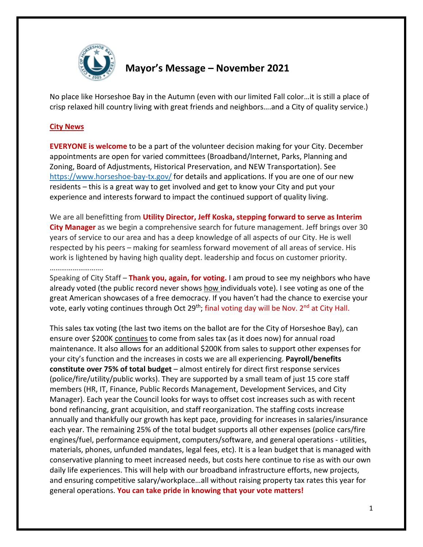

## **Mayor's Message – November 2021**

No place like Horseshoe Bay in the Autumn (even with our limited Fall color…it is still a place of crisp relaxed hill country living with great friends and neighbors….and a City of quality service.)

## **City News**

**EVERYONE is welcome** to be a part of the volunteer decision making for your City. December appointments are open for varied committees (Broadband/Internet, Parks, Planning and Zoning, Board of Adjustments, Historical Preservation, and NEW Transportation). See <https://www.horseshoe-bay-tx.gov/> for details and applications. If you are one of our new residents – this is a great way to get involved and get to know your City and put your experience and interests forward to impact the continued support of quality living.

We are all benefitting from **Utility Director, Jeff Koska, stepping forward to serve as Interim City Manager** as we begin a comprehensive search for future management. Jeff brings over 30 years of service to our area and has a deep knowledge of all aspects of our City. He is well respected by his peers – making for seamless forward movement of all areas of service. His work is lightened by having high quality dept. leadership and focus on customer priority. ……………………….

Speaking of City Staff – **Thank you, again, for voting.** I am proud to see my neighbors who have already voted (the public record never shows how individuals vote). I see voting as one of the great American showcases of a free democracy. If you haven't had the chance to exercise your vote, early voting continues through Oct 29<sup>th</sup>; final voting day will be Nov.  $2^{nd}$  at City Hall.

This sales tax voting (the last two items on the ballot are for the City of Horseshoe Bay), can ensure over \$200K continues to come from sales tax (as it does now) for annual road maintenance. It also allows for an additional \$200K from sales to support other expenses for your city's function and the increases in costs we are all experiencing. **Payroll/benefits constitute over 75% of total budget** – almost entirely for direct first response services (police/fire/utility/public works). They are supported by a small team of just 15 core staff members (HR, IT, Finance, Public Records Management, Development Services, and City Manager). Each year the Council looks for ways to offset cost increases such as with recent bond refinancing, grant acquisition, and staff reorganization. The staffing costs increase annually and thankfully our growth has kept pace, providing for increases in salaries/insurance each year. The remaining 25% of the total budget supports all other expenses (police cars/fire engines/fuel, performance equipment, computers/software, and general operations - utilities, materials, phones, unfunded mandates, legal fees, etc). It is a lean budget that is managed with conservative planning to meet increased needs, but costs here continue to rise as with our own daily life experiences. This will help with our broadband infrastructure efforts, new projects, and ensuring competitive salary/workplace…all without raising property tax rates this year for general operations. **You can take pride in knowing that your vote matters!**